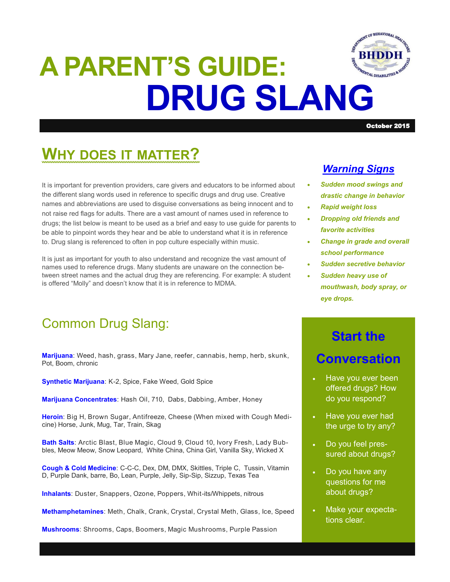

# **DRUG SLANG A PARENT'S GUIDE:**

### October 2015

# **WHY DOES IT MATTER?**

It is important for prevention providers, care givers and educators to be informed about the different slang words used in reference to specific drugs and drug use. Creative names and abbreviations are used to disguise conversations as being innocent and to not raise red flags for adults. There are a vast amount of names used in reference to drugs; the list below is meant to be used as a brief and easy to use guide for parents to be able to pinpoint words they hear and be able to understand what it is in reference to. Drug slang is referenced to often in pop culture especially within music.

It is just as important for youth to also understand and recognize the vast amount of names used to reference drugs. Many students are unaware on the connection between street names and the actual drug they are referencing. For example: A student is offered "Molly" and doesn't know that it is in reference to MDMA.

## Common Drug Slang:

**Marijuana**: Weed, hash, grass, Mary Jane, reefer, cannabis, hemp, herb, skunk, Pot, Boom, chronic

**Synthetic Marijuana**: K-2, Spice, Fake Weed, Gold Spice

**Marijuana Concentrates**: Hash Oil, 710, Dabs, Dabbing, Amber, Honey

**Heroin**: Big H, Brown Sugar, Antifreeze, Cheese (When mixed with Cough Medicine) Horse, Junk, Mug, Tar, Train, Skag

**Bath Salts**: Arctic Blast, Blue Magic, Cloud 9, Cloud 10, Ivory Fresh, Lady Bubbles, Meow Meow, Snow Leopard, White China, China Girl, Vanilla Sky, Wicked X

**Cough & Cold Medicine**: C-C-C, Dex, DM, DMX, Skittles, Triple C, Tussin, Vitamin D, Purple Dank, barre, Bo, Lean, Purple, Jelly, Sip-Sip, Sizzup, Texas Tea

**Inhalants**: Duster, Snappers, Ozone, Poppers, Whit-its/Whippets, nitrous

**Methamphetamines**: Meth, Chalk, Crank, Crystal, Crystal Meth, Glass, Ice, Speed

**Mushrooms**: Shrooms, Caps, Boomers, Magic Mushrooms, Purple Passion

## *Warning Signs*

- *Sudden mood swings and drastic change in behavior*
- *Rapid weight loss*
- *Dropping old friends and favorite activities*
- *Change in grade and overall school performance*
- *Sudden secretive behavior*
- *Sudden heavy use of mouthwash, body spray, or eye drops.*

# **Start the Conversation**

- Have you ever been offered drugs? How do you respond?
- Have you ever had the urge to try any?
- Do you feel pressured about drugs?
- Do you have any questions for me about drugs?
- Make your expectations clear.